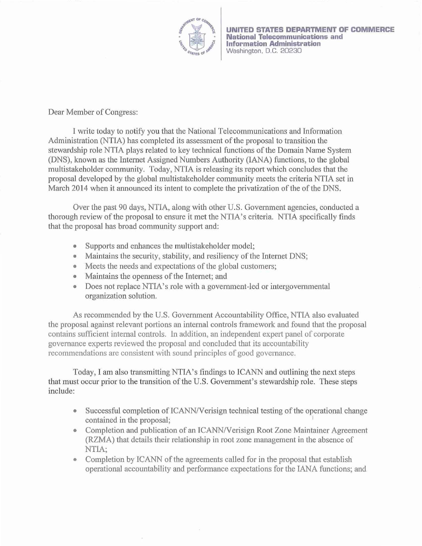

Dear Member of Congress:

I write today to notify you that the National Telecommunications and Information Administration (NTIA) has completed its assessment of the proposal to transition the stewardship role NTJA plays related to key technical functions of the Domain Name System (DNS), known as the Internet Assigned Numbers Authority (lANA) functions, to the global multistakeholder community. Today, NTIA is releasing its report which concludes that the proposal developed by the global multistakeholder community meets the criteria NTIA set in March 2014 when it announced its intent to complete the privatization of the of the DNS.

Over the past 90 days, NTIA, along with other U.S. Govemment agencies, conducted a thorough review of the proposal to ensure it met the NTIA's criteria. NTIA specifically fmds that the proposal has broad community support and:

- Supports and enhances the multistakeholder model;
- Maintains the security, stability, and resiliency of the Internet DNS;
- Meets the needs and expectations of the global customers;
- Maintains the openness of the Internet; and
- Does not replace NTIA's role with a government-led or intergovernmental organization solution.

As recommended by the U.S. Government Accountability Office, NTIA also evaluated the proposal against relevant portions an internal controls framework and found that the proposal contains sufficient internal controls. In addition, an independent expert panel of corporate governance expetts reviewed the proposal and concluded that its accountability recommendations are consistent with sound principles of good governance.

Today, I am also transmitting NTIA's findings to ICANN and outlining the next steps that must occur prior to the transition of the U.S. Govemment's stewardship role. These steps include:

- Successful completion of ICANN/Verisign technical testing of the operational change contained in the proposal;
- Completion and publication of an ICANN/Verisign Root Zone Maintainer Agreement (RZMA) that details their relationship in root zone management in the absence of NTIA;
- Completion by ICANN of the agreements called for in the proposal that establish operational accountability and performance expectations for the lANA functions; and